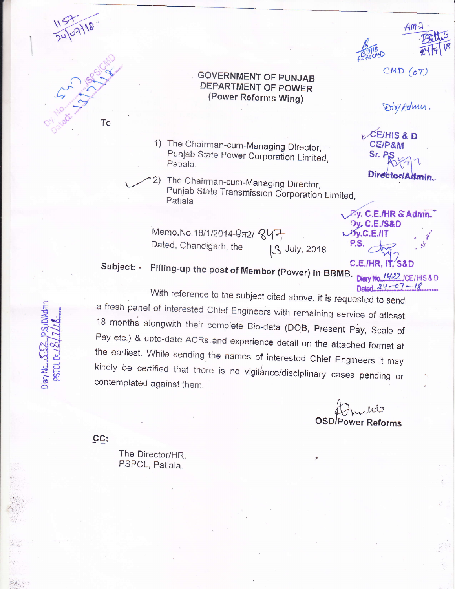



**GOVERNMENT OF PUNJAB** DEPARTMENT OF POWER (Power Reforms Wing)

- 1) The Chairman-cum-Managing Director, Punjab State Power Corporation Limited, Patiala.
- 2) The Chairman-cum-Managing Director, Punjab State Transmission Corporation Limited, Patiala

Memo. No. 16/1/2014-0<sub>82</sub>/ 847 Dated, Chandigarh, the 13 July, 2018

 $20y.C.E.JIT$ P.S. C.E./HR. IT. S&D

**Dy. C.E./S&D** 

**By. C.E./HR & Admn.** 

 $Am-1$ 

 $CMD (o7)$ 

Dir/Admn.

Director/Admin.

**CE/HIS & D** 

**CE/P&M** 

Sr. P.S

Subject: - Filling-up the post of Member (Power) in BBMB. Diary No. 1422 ICE/HIS & D

Datart  $24 - 07 - 18$ With reference to the subject cited above, it is requested to send a fresh panel of interested Chief Engineers with remaining service of atleast 18 months alongwith their complete Bio-data (DOB, Present Pay, Scale of Pay etc.) & upto-date ACRs and experience detail on the attached format at the earliest. While sending the names of interested Chief Engineers it may kindly be certified that there is no vigilance/disciplinary cases pending or contemplated against them.

**OSD/Power Reforms** 

 $CC:$ 

The Director/HR, PSPCL, Patiala.

Diary No...

NANT